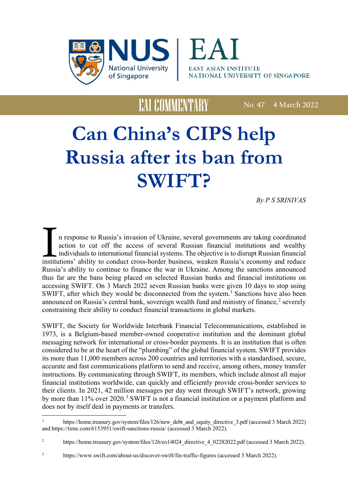



**No. 47 4 March 2022**

# **Can China's CIPS help Russia after its ban from SWIFT?**

*By P S SRINIVAS*

In response to Russia's invasion of Ukraine, several governments are taking coordinated action to cut off the access of several Russian financial institutions and wealthy individuals to international financial systems. The n response to Russia's invasion of Ukraine, several governments are taking coordinated action to cut off the access of several Russian financial institutions and wealthy individuals to international financial systems. The objective is to disrupt Russian financial Russia's ability to continue to finance the war in Ukraine. Among the sanctions announced thus far are the bans being placed on selected Russian banks and financial institutions on accessing SWIFT. On 3 March 2022 seven Russian banks were given 10 days to stop using SWIFT, after which they would be disconnected from the system.<sup>[1](#page-0-0)</sup> Sanctions have also been announced on Russia's central bank, sovereign wealth fund and ministry of finance,<sup>[2](#page-0-1)</sup> severely constraining their ability to conduct financial transactions in global markets.

SWIFT, the Society for Worldwide Interbank Financial Telecommunications, established in 1973, is a Belgium-based member-owned cooperative institution and the dominant global messaging network for international or cross-border payments. It is an institution that is often considered to be at the heart of the "plumbing" of the global financial system. SWIFT provides its more than 11,000 members across 200 countries and territories with a standardised, secure, accurate and fast communications platform to send and receive, among others, money transfer instructions. By communicating through SWIFT, its members, which include almost all major financial institutions worldwide, can quickly and efficiently provide cross-border services to their clients. In 2021, 42 million messages per day went through SWIFT's network, growing by more than 11% over 2020.<sup>[3](#page-0-2)</sup> SWIFT is not a financial institution or a payment platform and does not by itself deal in payments or transfers.

<span id="page-0-0"></span> $\mathbf{1}$ [https://home.treasury.gov/system/files/126/new\\_debt\\_and\\_equity\\_directive\\_3.pdf](about:blank) (accessed 3 March 2022) and https://time.com/6153951/swift-sanctions-russia/ (accessed 3 March 2022).

<span id="page-0-1"></span><sup>&</sup>lt;sup>2</sup> https://home.treasury.gov/system/files/126/eo14024 directive 4 02282022.pdf (accessed 3 March 2022).

<span id="page-0-2"></span><sup>3</sup> [https://www.swift.com/about-us/discover-swift/fin-traffic-figures](about:blank) (accessed 3 March 2022).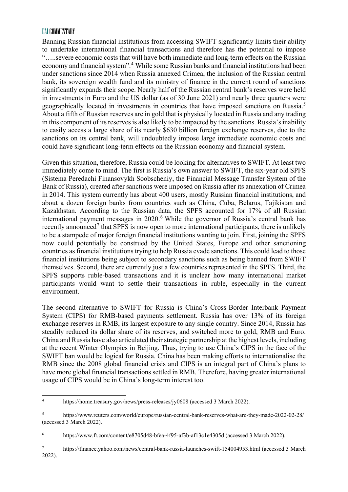Banning Russian financial institutions from accessing SWIFT significantly limits their ability to undertake international financial transactions and therefore has the potential to impose "…..severe economic costs that will have both immediate and long-term effects on the Russian economy and financial system". [4](#page-1-0) While some Russian banks and financial institutions had been under sanctions since 2014 when Russia annexed Crimea, the inclusion of the Russian central bank, its sovereign wealth fund and its ministry of finance in the current round of sanctions significantly expands their scope. Nearly half of the Russian central bank's reserves were held in investments in Euro and the US dollar (as of 30 June 2021) and nearly three quarters were geographically located in investments in countries that have imposed sanctions on Russia. [5](#page-1-1) About a fifth of Russian reserves are in gold that is physically located in Russia and any trading in this component of its reserves is also likely to be impacted by the sanctions. Russia's inability to easily access a large share of its nearly \$630 billion foreign exchange reserves, due to the sanctions on its central bank, will undoubtedly impose large immediate economic costs and could have significant long-term effects on the Russian economy and financial system.

Given this situation, therefore, Russia could be looking for alternatives to SWIFT. At least two immediately come to mind. The first is Russia's own answer to SWIFT, the six-year old SPFS (Sistema Peredachi Finansovykh Soobscheniy, the Financial Message Transfer System of the Bank of Russia), created after sanctions were imposed on Russia after its annexation of Crimea in 2014. This system currently has about 400 users, mostly Russian financial institutions, and about a dozen foreign banks from countries such as China, Cuba, Belarus, Tajikistan and Kazakhstan. According to the Russian data, the SPFS accounted for 17% of all Russian international payment messages in 2020. [6](#page-1-2) While the governor of Russia's central bank has recently announced<sup>[7](#page-1-3)</sup> that SPFS is now open to more international participants, there is unlikely to be a stampede of major foreign financial institutions wanting to join. First, joining the SPFS now could potentially be construed by the United States, Europe and other sanctioning countries as financial institutions trying to help Russia evade sanctions. This could lead to those financial institutions being subject to secondary sanctions such as being banned from SWIFT themselves. Second, there are currently just a few countries represented in the SPFS. Third, the SPFS supports ruble-based transactions and it is unclear how many international market participants would want to settle their transactions in ruble, especially in the current environment.

The second alternative to SWIFT for Russia is China's Cross-Border Interbank Payment System (CIPS) for RMB-based payments settlement. Russia has over 13% of its foreign exchange reserves in RMB, its largest exposure to any single country. Since 2014, Russia has steadily reduced its dollar share of its reserves, and switched more to gold, RMB and Euro. China and Russia have also articulated their strategic partnership at the highest levels, including at the recent Winter Olympics in Beijing. Thus, trying to use China's CIPS in the face of the SWIFT ban would be logical for Russia. China has been making efforts to internationalise the RMB since the 2008 global financial crisis and CIPS is an integral part of China's plans to have more global financial transactions settled in RMB. Therefore, having greater international usage of CIPS would be in China's long-term interest too.

<span id="page-1-0"></span> $\overline{4}$ https://home.treasury.gov/news/press-releases/jy0608 (accessed 3 March 2022).

<span id="page-1-1"></span><sup>5</sup> https://www.reuters.com/world/europe/russian-central-bank-reserves-what-are-they-made-2022-02-28/ (accessed 3 March 2022).

<span id="page-1-2"></span><sup>6</sup> https://www.ft.com/content/e8705d48-bfea-4f95-af3b-af13c1e4305d (accessed 3 March 2022).

<span id="page-1-3"></span><sup>7</sup> https://finance.yahoo.com/news/central-bank-russia-launches-swift-154004953.html (accessed 3 March 2022).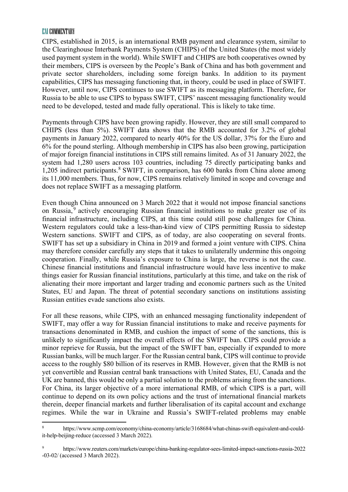$\overline{a}$ 

CIPS, established in 2015, is an international RMB payment and clearance system, similar to the Clearinghouse Interbank Payments System (CHIPS) of the United States (the most widely used payment system in the world). While SWIFT and CHIPS are both cooperatives owned by their members, CIPS is overseen by the People's Bank of China and has both government and private sector shareholders, including some foreign banks. In addition to its payment capabilities, CIPS has messaging functioning that, in theory, could be used in place of SWIFT. However, until now, CIPS continues to use SWIFT as its messaging platform. Therefore, for Russia to be able to use CIPS to bypass SWIFT, CIPS' nascent messaging functionality would need to be developed, tested and made fully operational. This is likely to take time.

Payments through CIPS have been growing rapidly. However, they are still small compared to CHIPS (less than 5%). SWIFT data shows that the RMB accounted for 3.2% of global payments in January 2022, compared to nearly 40% for the US dollar, 37% for the Euro and 6% for the pound sterling. Although membership in CIPS has also been growing, participation of major foreign financial institutions in CIPS still remains limited. As of 31 January 2022, the system had 1,280 users across 103 countries, including 75 directly participating banks and 1,205 indirect participants. [8](#page-2-0) SWIFT, in comparison, has 600 banks from China alone among its 11,000 members. Thus, for now, CIPS remains relatively limited in scope and coverage and does not replace SWIFT as a messaging platform.

Even though China announced on 3 March 2022 that it would not impose financial sanctions on Russia, [9](#page-2-1) actively encouraging Russian financial institutions to make greater use of its financial infrastructure, including CIPS, at this time could still pose challenges for China. Western regulators could take a less-than-kind view of CIPS permitting Russia to sidestep Western sanctions. SWIFT and CIPS, as of today, are also cooperating on several fronts. SWIFT has set up a subsidiary in China in 2019 and formed a joint venture with CIPS. China may therefore consider carefully any steps that it takes to unilaterally undermine this ongoing cooperation. Finally, while Russia's exposure to China is large, the reverse is not the case. Chinese financial institutions and financial infrastructure would have less incentive to make things easier for Russian financial institutions, particularly at this time, and take on the risk of alienating their more important and larger trading and economic partners such as the United States, EU and Japan. The threat of potential secondary sanctions on institutions assisting Russian entities evade sanctions also exists.

For all these reasons, while CIPS, with an enhanced messaging functionality independent of SWIFT, may offer a way for Russian financial institutions to make and receive payments for transactions denominated in RMB, and cushion the impact of some of the sanctions, this is unlikely to significantly impact the overall effects of the SWIFT ban. CIPS could provide a minor reprieve for Russia, but the impact of the SWIFT ban, especially if expanded to more Russian banks, will be much larger. For the Russian central bank, CIPS will continue to provide access to the roughly \$80 billion of its reserves in RMB. However, given that the RMB is not yet convertible and Russian central bank transactions with United States, EU, Canada and the UK are banned, this would be only a partial solution to the problems arising from the sanctions. For China, its larger objective of a more international RMB, of which CIPS is a part, will continue to depend on its own policy actions and the trust of international financial markets therein, deeper financial markets and further liberalisation of its capital account and exchange regimes. While the war in Ukraine and Russia's SWIFT-related problems may enable

<span id="page-2-0"></span><sup>8</sup> https://www.scmp.com/economy/china-economy/article/3168684/what-chinas-swift-equivalent-and-couldit-help-beijing-reduce (accessed 3 March 2022).

<span id="page-2-1"></span><sup>9</sup> https://www.reuters.com/markets/europe/china-banking-regulator-sees-limited-impact-sanctions-russia-2022 -03-02/ (accessed 3 March 2022).